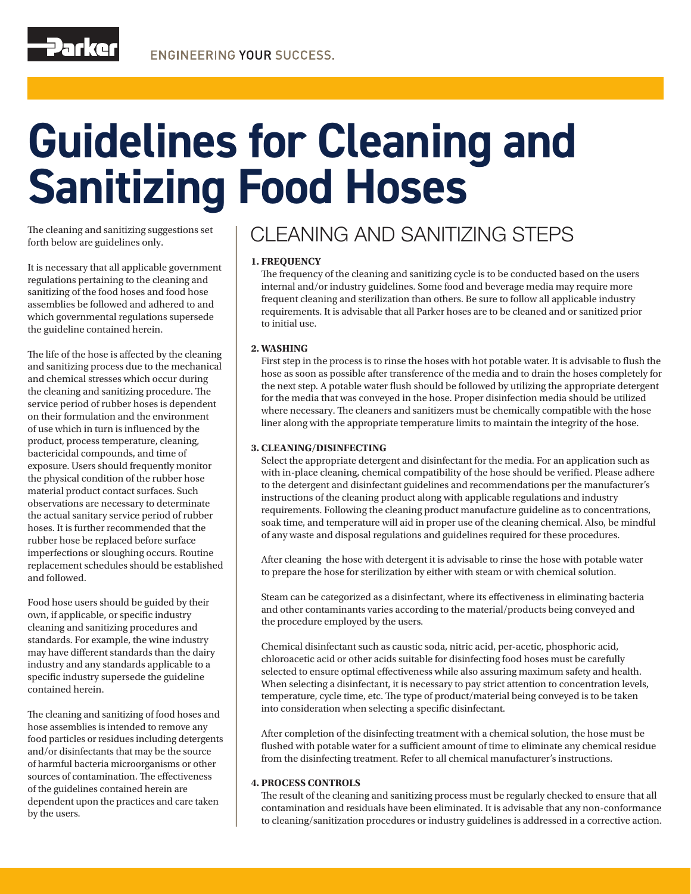# **Guidelines for Cleaning and Sanitizing Food Hoses**

The cleaning and sanitizing suggestions set forth below are guidelines only.

It is necessary that all applicable government regulations pertaining to the cleaning and sanitizing of the food hoses and food hose assemblies be followed and adhered to and which governmental regulations supersede the guideline contained herein.

The life of the hose is affected by the cleaning and sanitizing process due to the mechanical and chemical stresses which occur during the cleaning and sanitizing procedure. The service period of rubber hoses is dependent on their formulation and the environment of use which in turn is influenced by the product, process temperature, cleaning, bactericidal compounds, and time of exposure. Users should frequently monitor the physical condition of the rubber hose material product contact surfaces. Such observations are necessary to determinate the actual sanitary service period of rubber hoses. It is further recommended that the rubber hose be replaced before surface imperfections or sloughing occurs. Routine replacement schedules should be established and followed.

Food hose users should be guided by their own, if applicable, or specific industry cleaning and sanitizing procedures and standards. For example, the wine industry may have different standards than the dairy industry and any standards applicable to a specific industry supersede the guideline contained herein.

The cleaning and sanitizing of food hoses and hose assemblies is intended to remove any food particles or residues including detergents and/or disinfectants that may be the source of harmful bacteria microorganisms or other sources of contamination. The effectiveness of the guidelines contained herein are dependent upon the practices and care taken by the users.

### CLEANING AND SANITIZING STEPS

#### **1. FREQUENCY**

The frequency of the cleaning and sanitizing cycle is to be conducted based on the users internal and/or industry guidelines. Some food and beverage media may require more frequent cleaning and sterilization than others. Be sure to follow all applicable industry requirements. It is advisable that all Parker hoses are to be cleaned and or sanitized prior to initial use.

#### **2. WASHING**

First step in the process is to rinse the hoses with hot potable water. It is advisable to flush the hose as soon as possible after transference of the media and to drain the hoses completely for the next step. A potable water flush should be followed by utilizing the appropriate detergent for the media that was conveyed in the hose. Proper disinfection media should be utilized where necessary. The cleaners and sanitizers must be chemically compatible with the hose liner along with the appropriate temperature limits to maintain the integrity of the hose.

#### **3. CLEANING/DISINFECTING**

Select the appropriate detergent and disinfectant for the media. For an application such as with in-place cleaning, chemical compatibility of the hose should be verified. Please adhere to the detergent and disinfectant guidelines and recommendations per the manufacturer's instructions of the cleaning product along with applicable regulations and industry requirements. Following the cleaning product manufacture guideline as to concentrations, soak time, and temperature will aid in proper use of the cleaning chemical. Also, be mindful of any waste and disposal regulations and guidelines required for these procedures.

After cleaning the hose with detergent it is advisable to rinse the hose with potable water to prepare the hose for sterilization by either with steam or with chemical solution.

Steam can be categorized as a disinfectant, where its effectiveness in eliminating bacteria and other contaminants varies according to the material/products being conveyed and the procedure employed by the users.

Chemical disinfectant such as caustic soda, nitric acid, per-acetic, phosphoric acid, chloroacetic acid or other acids suitable for disinfecting food hoses must be carefully selected to ensure optimal effectiveness while also assuring maximum safety and health. When selecting a disinfectant, it is necessary to pay strict attention to concentration levels, temperature, cycle time, etc. The type of product/material being conveyed is to be taken into consideration when selecting a specific disinfectant.

After completion of the disinfecting treatment with a chemical solution, the hose must be flushed with potable water for a sufficient amount of time to eliminate any chemical residue from the disinfecting treatment. Refer to all chemical manufacturer's instructions.

#### **4. PROCESS CONTROLS**

The result of the cleaning and sanitizing process must be regularly checked to ensure that all contamination and residuals have been eliminated. It is advisable that any non-conformance to cleaning/sanitization procedures or industry guidelines is addressed in a corrective action.